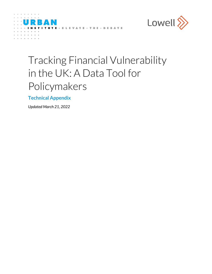



# Tracking Financial Vulnerability in the UK: A Data Tool for Policymakers

**Technical Appendix** 

*Updated March 21, 2022*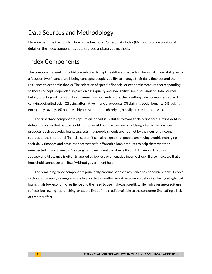## Data Sources and Methodology

Here we describe the construction of the Financial Vulnerability Index (FVI) and provide additional detail on the index components, data sources, and analytic methods.

## Index Components

The components used in the FVI are selected to capture different aspects of financial vulnerability, with a focus on two financial well-being concepts: people's ability to manage their daily finances and their resilience to economic shocks. The selection of specific financial or economic measures corresponding to those concepts depended, in part, on data quality and availability (see discussion of Data Sources below). Starting with a list of 12 consumer financial indicators, the resulting index components are (1) carrying defaulted debt, (2) using alternative financial products, (3) claiming social benefits, (4) lacking emergency savings, (5) holding a high-cost loan, and (6) relying heavily on credit (table A.1).

The first three components capture an individual's ability to manage daily finances. Having debt in default indicates that people could not (or would not) pay certain bills. Using alternative financial products, such as payday loans, suggests that people's needs are not met by their current income sources or the traditional financial sector; it can also signal that people are having trouble managing their daily finances and have less access to safe, affordable loan products to help them weather unexpected financial needs. Applying for government assistance through Universal Credit or Jobseeker's Allowance is often triggered by job loss or a negative income shock. It also indicates that a household cannot sustain itself without government help.

The remaining three components principally capture people's resilience to economic shocks. People without emergency savings are less likely able to weather negative economic shocks. Having a high-cost loan signals low economic resilience and the need to use high-cost credit, while high average credit use reflects borrowing approaching, or at, the limit of the credit available to the consumer (indicating a lack of credit buffer).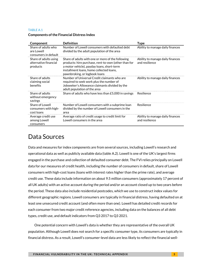#### TABLE A.1

| Component                                                  | <b>Definition</b>                                                                                                                                                                                                                    | <b>Type</b>                                        |
|------------------------------------------------------------|--------------------------------------------------------------------------------------------------------------------------------------------------------------------------------------------------------------------------------------|----------------------------------------------------|
| Share of adults who<br>are Lowell<br>consumers in default  | Number of Lowell consumers with defaulted debt<br>divided by the adult population of the area                                                                                                                                        | Ability to manage daily finances                   |
| Share of adults using<br>alternative financial<br>products | Share of adults with one or more of the following<br>products: hire purchase, rent-to-own (other than for<br>a motor vehicle), payday loans, short-term<br>installment loans, home collected loans,<br>pawnbroking, or logbook loans | Ability to manage daily finances<br>and resilience |
| Share of adults<br>claiming social<br>benefits             | Number of Universal Credit claimants who are<br>required to seek work plus the number of<br>Jobseeker's Allowance claimants divided by the<br>adult population of the area                                                           | Ability to manage daily finances                   |
| Share of adults<br>without emergency<br>savings            | Share of adults who have less than £5,000 in savings                                                                                                                                                                                 | Resilience                                         |
| Share of Lowell<br>consumers with high-<br>cost loans      | Number of Lowell consumers with a subprime loan<br>divided by the number of Lowell consumers in the<br>area                                                                                                                          | Resilience                                         |
| Average credit use<br>among Lowell<br>consumers            | Average ratio of credit usage to credit limit for<br>Lowell consumers in the area                                                                                                                                                    | Ability to manage daily finances<br>and resilience |

#### **Components ofthe Financial Distress Index**

### Data Sources

Data and measures for index components are from several sources, including Lowell's research and operational data as well as publicly available data (table A.2). Lowell is one of the UK's largest firms engaged in the purchase and collection of defaulted consumer debt. The FVI relies principally on Lowell data for our measures of credit health, including the number of consumers in default, share of Lowell consumers with high-cost loans (loans with interest rates higher than the prime rate), and average credit use. These data include information on about 9.5 million consumers (approximately 17 percent of all UK adults) with an active account during the period and/or an account closed up to two years before the period. These data also include residential postcodes, which we use to construct index values for different geographic regions. Lowell consumers are typically in financial distress, having defaulted on at least one unsecured credit account (and often more than one). Lowell has detailed credit records for each consumer from two major credit reference agencies, including data on the balances of all debt types, credit use, and default indicators from Q3 2017 to Q3 2021.

One potential concern with Lowell's data is whether they are representative of the overall UK population. Although Lowell does not search for a specific consumer type, its consumers are typically in financial distress. As a result, Lowell's consumer-level data are less likely to reflect the financial well-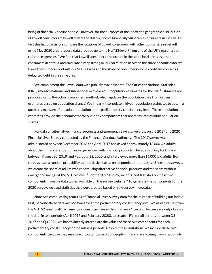being of financially secure people. However, for the purposes of the index, the geographic distribution of Lowell consumers may well reflect the distribution of financially vulnerable consumers in the UK. To test this hypothesis, we compare the locations of Lowell consumers with other consumers in default using May 2020 credit record data grouped up to the NUTS3-level<sup>[1](#page-7-0)</sup> from one of the UK's major credit reference agencies. $2$  We find that Lowell consumers are located in the same local areas as other consumers in default and calculate a very strong (0.97) correlation between the share of adults who are Lowell consumers in default in a NUTS3 area and the share of consumers whose credit file contains a defaulted debt in the same area.

We complement the Lowell data with publicly available data. The Office for National Statistics (ONS) releases national and subnational midyear adult population estimates for the UK. [3](#page-7-2) Estimates are produced using the cohort component method, which updates the population base from census estimates based on population change. We linearly interpolate midyear population estimates to obtain a quarterly measure of the adult population at the parliamentary constituency level. These population estimates provide the denominator for our index components that are measured as adult population shares.

For data on alternative financial products and emergency savings, we draw on the 2017 and 2020 Financial Lives Survey conducted by the Financial Conduct Authority. [4](#page-7-3) The 2017 survey was administered between December 2016 and April 2017 and asked approximately 13,000 UK adults about their financial situation and experiences with financial products. The 2020 survey took place between August 30, 2019, and February 18, 2020, and interviewed more than 16,000 UK adults. Both surveys used a random probability sample design based on respondents' addresses. Using both surveys, we create the share of adults who report using alternative financial products and the share without emergency savings at the NUTS2 level.<sup>[5](#page-7-4)</sup> For the 2017 survey, we obtained statistics on these two components from the data tables available on the survey website. [6](#page-7-5) To generate the components for the 2020 survey, we used statistics that were created based on raw survey microdata.<sup>[7](#page-7-6)</sup>

Note two complicating features of Financial Lives Survey data for the purpose of building our index: first, because these data are not available at the parliamentary constituency level, we assign values from the NUTS2 level to all parliamentary constituencies within that area.<sup>8</sup> Second, because we only observe the data in two periods (April 2017 and February 2020), to create a FVI for all periods between Q3 2017 and Q3 2021, we had to linearly interpolate the values of these two components for each parliamentary constituency for the missing periods. Despite these limitations, we include these two components because they measure important aspects of people's financial well-being from a nationally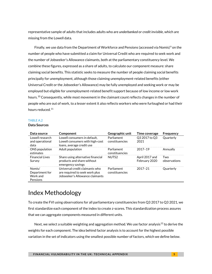representative sample of adults that includes adults who are *underbanked* or *credit invisible*, which are missing from the Lowell data.

Finally, we use data from the Department of Workforce and Pensions (accessed via Nomis)<sup>9</sup> on the number of people who have submitted a claim for Universal Credit who are required to seek work and the number of Jobseeker's Allowance claimants, both at the parliamentary constituency level. We combine these figures, expressed as a share of adults, to calculate our component measure: share claiming social benefits. This statistic seeks to measure the number of people claiming social benefits principally for unemployment, although those claiming unemployment-related benefits (either Universal Credit or the Jobseeker's Allowance) may be fully unemployed and seeking work or may be employed but eligible for unemployment-related benefit support because of low income or low work hours.<sup>10</sup> Consequently, while most movement in the claimant count reflects changes in the number of people who are out of work, to a lesser extent it also reflects workers who were furloughed or had their hours reduced.<sup>11</sup>

#### TABLE A.2

#### **Data Sources**

| Data source                                      | Component                                                                                           | Geographic unit              | Time coverage                   | Frequency           |
|--------------------------------------------------|-----------------------------------------------------------------------------------------------------|------------------------------|---------------------------------|---------------------|
| Lowell research<br>and operational<br>data       | Lowell consumers in default.<br>Lowell consumers with high-cost<br>loans, average credit use        | Parliament<br>constituencies | Q3 2017 to Q3<br>2021           | <b>Quarterly</b>    |
| ONS population<br>estimates                      | Adult population                                                                                    | Parliament<br>constituencies | 2017-19                         | Annually            |
| <b>Financial Lives</b><br>Survey                 | Share using alternative financial<br>products and share without<br>emergency savings                | NUTS2                        | April 2017 and<br>February 2020 | Two<br>observations |
| Nomis/<br>Department for<br>Work and<br>Pensions | Universal credit claimants who<br>are required to seek work plus<br>Jobseeker's Allowance claimants | Parliament<br>constituencies | $2017 - 21$                     | Ouarterly           |

### Index Methodology

To create the FVI using observations for all parliamentary constituencies from Q3 2017 to Q3 2021, we first standardize each component of the index to create z-scores. This standardization process assures that we can aggregate components measured in different units.

Next, we select a suitable weighting and aggregation method. We use factor analysis<sup>12</sup> to derive the weights for each component. The idea behind factor analysis is to account for the highest possible variation in the set of indicators using the smallest possible number of factors, which we define below.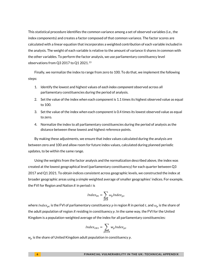This statistical procedure identifies the common variance among a set of observed variables (i.e., the index components) and creates a factor composed of that common variance. The factor scores are calculated with a linear equation that incorporates a weighted contribution of each variable included in the analysis. The weight of each variable is relative to the amount of variance it shares in common with the other variables. To perform the factor analysis, we use parliamentary constituency level observations from Q3 2017 to Q1 2021.13

Finally, we normalize the index to range from zero to 100. To do that, we implement the following steps:

- 1. Identify the lowest and highest values of *each index component* observed across all parliamentary constituencies during the period of analysis.
- 2. Set the value of the index when each component is 1.1 times its highest observed value as equal to 100.
- 3. Set the value of the index when each component is 0.4 times its lowest observed value as equal to zero.
- 4. Normalize the index to all parliamentary constituencies during the period of analysis as the distance between these lowest and highest reference points.

By making these adjustments, we ensure that index values calculated during the analysis are between zero and 100 and allow room for future index values, calculated during planned periodic updates, to be within the same range.

Using the weights from the factor analysis and the normalization described above, the index was created at the lowest geographical level (parliamentary constituency) for each quarter between Q3 2017 and Q1 2021. To obtain indices consistent across geographic levels, we constructed the index at broader geographic areas using a simple weighted average of smaller geographies' indices. For example, the FVI for Region and Nation  $R$  in period  $t$  is

$$
Index_{Rt} = \sum_{p \in R} \omega_p Index_{pt}
$$

where Inde $x_{pt}$  is the FVI of parliamentary constituency  $p$  in region R in period  $t$ , and  $\omega_p$  is the share of the adult population of region R residing in constituency  $p$ . In the same way, the FVI for the United Kingdom is a population-weighted average of the index for all parliamentary constituencies:

$$
Index_{UKt} = \sum_{p \in UK} w_p Index_{pt}
$$

 $w_p$  is the share of United Kingdom adult population in constituency  $p$ .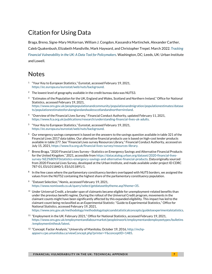# Citation for Using Data

Braga, Breno, Signe-Mary McKernan, William J. Congdon, Kassandra Martinchek, Alexander Carther, Caleb Quakenbush, Elizabeth Mandiville, Mark Hayward, and Christopher Trepel. March 2022. *[Tracking](https://datacatalog.urban.org/dataset/tracking-financial-vulnerability-uk)  [Financial Vulnerability in the UK:](https://datacatalog.urban.org/dataset/tracking-financial-vulnerability-uk) A Data Tool for Policymakers.* Washington, DC; Leeds, UK: Urban Institute and Lowell.

### **Notes**

- <sup>1</sup> "Your Key to European Statistics," Eurostat, accessed February 19, 2021, [https://ec.europa.eu/eurostat/web/nuts/background.](https://ec.europa.eu/eurostat/web/nuts/background)
- <sup>2</sup> The lowest level of geography available in the credit bureau data was NUTS3.
- $3$  "Estimates of the Population for the UK, England and Wales, Scotland and Northern Ireland," Office for National Statistics, accessed February 19, 2021, [https://www.ons.gov.uk/peoplepopulationandcommunity/populationandmigration/populationestimates/datase](https://www.ons.gov.uk/peoplepopulationandcommunity/populationandmigration/populationestimates/datasets/populationestimatesforukenglandandwalesscotlandandnorthernireland) [ts/populationestimatesforukenglandandwalesscotlandandnorthernireland.](https://www.ons.gov.uk/peoplepopulationandcommunity/populationandmigration/populationestimates/datasets/populationestimatesforukenglandandwalesscotlandandnorthernireland)
- <sup>4</sup> "Overview of the Financial Lives Survey," Financial Conduct Authority, updated February 11, 2021, [https://www.fca.org.uk/publications/research/understanding-financial-lives-uk-adults.](https://www.fca.org.uk/publications/research/understanding-financial-lives-uk-adults)
- <sup>5</sup> "Your Key to European Statistics," Eurostat, accessed February 19, 2021, [https://ec.europa.eu/eurostat/web/nuts/background.](https://ec.europa.eu/eurostat/web/nuts/background)
- $6$  Our emergency savings component is based on the answers to the savings question available in table 321 of the Financial Lives 2017 data tables. Our alternative financial products use is based on high-cost lender products available in table 277. See "Financial Lives survey Resources Library," Financial Conduct Authority, accessed on July 15, 2021, https://www.fca.org.uk/financial-lives-survey/resources-library.
- $7$  Breno Braga, "2020 Financial Lives Survey—Statistics on Emergency Savings and Alternative Financial Products for the United Kingdom," 2021, accessible fro[m https://datacatalog.urban.org/dataset/2020-financial-lives](https://datacatalog.urban.org/dataset/2020-financial-lives-survey-%E2%80%93statistics-emergency-savings-and-alternative-financial-products)[survey-%E2%80%93statistics-emergency-savings-and-alternative-financial-products.](https://datacatalog.urban.org/dataset/2020-financial-lives-survey-%E2%80%93statistics-emergency-savings-and-alternative-financial-products) Data originally sourced from 2020 Financial Lives Survey, developed at the Urban Institute, and made available under project ID CDRC 787-01, ES/L011840/1; ES/L011891/1.
- <sup>8</sup> In the few cases where the parliamentary constituency borders overlapped with NUTS borders, we assigned the values from the NUTS2 containing the highest share of the parliamentary constituency population.
- <sup>9</sup> "Dataset Selection," Nomis, accessed February 19, 2021, [https://www.nomisweb.co.uk/query/select/getdatasetbytheme.asp?theme=35.](https://www.nomisweb.co.uk/query/select/getdatasetbytheme.asp?theme=35)
- $10$  Under Universal Credit, a broader span of claimants became eligible for unemployment-related benefits than under the previous benefit regime. During the rollout of the Universal Credit program, movements in the claimant counts might have been significantly affected by this expanded eligibility. This impact has led to the claimant count being reclassified as an Experimental Statistic: "Guide to Experimental Statistics," Office for National Statistics, accessed February 19, 2021, [https://www.ons.gov.uk/methodology/methodologytopicsandstatisticalconcepts/guidetoexperimentalstatistics.](https://www.ons.gov.uk/methodology/methodologytopicsandstatisticalconcepts/guidetoexperimentalstatistics)
- <sup>11</sup> "Employment in the UK: February 2021," Office for National Statistics, accessed February 19, 2021, [https://www.ons.gov.uk/employmentandlabourmarket/peopleinwork/employmentandemployeetypes/bulletins](https://www.ons.gov.uk/employmentandlabourmarket/peopleinwork/employmentandemployeetypes/bulletins/employmentintheuk/latest) [/employmentintheuk/latest.](https://www.ons.gov.uk/employmentandlabourmarket/peopleinwork/employmentandemployeetypes/bulletins/employmentintheuk/latest)
- <sup>12</sup> "Concept: Factor Analysis," University of Manitoba, October 19, 2016[, http://mchp](http://mchp-appserv.cpe.umanitoba.ca/viewConcept.php?printer=Y&conceptID=1485)[appserv.cpe.umanitoba.ca/viewConcept.php?printer=Y&conceptID=1485.](http://mchp-appserv.cpe.umanitoba.ca/viewConcept.php?printer=Y&conceptID=1485)